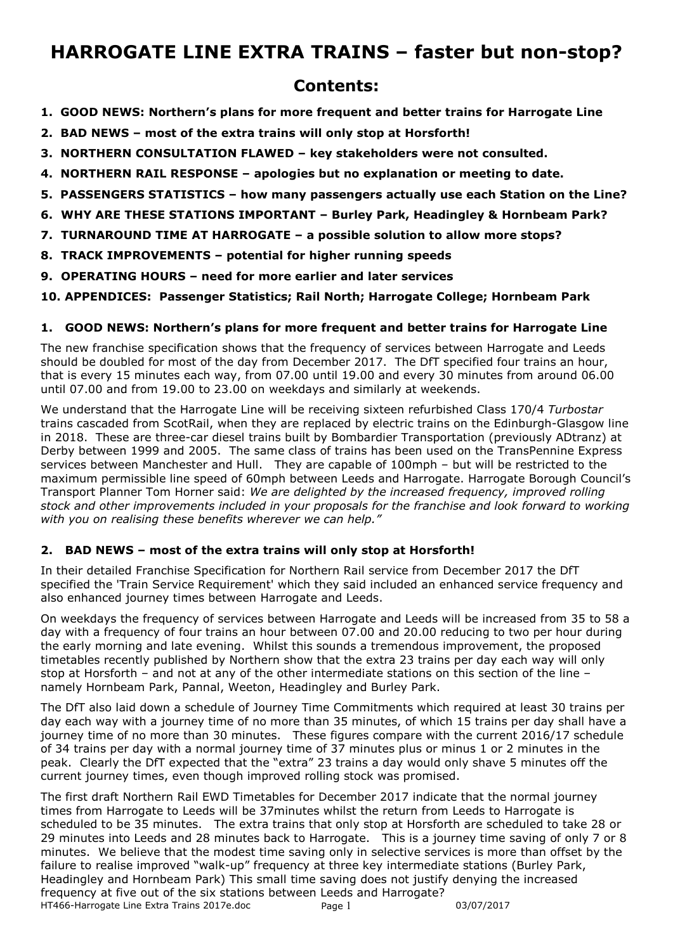### **Contents:**

- **1. GOOD NEWS: Northern's plans for more frequent and better trains for Harrogate Line**
- **2. BAD NEWS most of the extra trains will only stop at Horsforth!**
- **3. NORTHERN CONSULTATION FLAWED key stakeholders were not consulted.**
- **4. NORTHERN RAIL RESPONSE apologies but no explanation or meeting to date.**
- **5. PASSENGERS STATISTICS how many passengers actually use each Station on the Line?**
- **6. WHY ARE THESE STATIONS IMPORTANT Burley Park, Headingley & Hornbeam Park?**
- **7. TURNAROUND TIME AT HARROGATE a possible solution to allow more stops?**
- **8. TRACK IMPROVEMENTS potential for higher running speeds**
- **9. OPERATING HOURS need for more earlier and later services**

### **10. APPENDICES: Passenger Statistics; Rail North; Harrogate College; Hornbeam Park**

### **1. GOOD NEWS: Northern's plans for more frequent and better trains for Harrogate Line**

The new franchise specification shows that the frequency of services between Harrogate and Leeds should be doubled for most of the day from December 2017. The DfT specified four trains an hour, that is every 15 minutes each way, from 07.00 until 19.00 and every 30 minutes from around 06.00 until 07.00 and from 19.00 to 23.00 on weekdays and similarly at weekends.

We understand that the Harrogate Line will be receiving sixteen refurbished Class 170/4 *Turbostar* trains cascaded from ScotRail, when they are replaced by electric trains on the Edinburgh-Glasgow line in 2018. These are three-car diesel trains built by Bombardier Transportation (previously ADtranz) at Derby between 1999 and 2005. The same class of trains has been used on the TransPennine Express services between Manchester and Hull. They are capable of 100mph – but will be restricted to the maximum permissible line speed of 60mph between Leeds and Harrogate. Harrogate Borough Council's Transport Planner Tom Horner said: *We are delighted by the increased frequency, improved rolling stock and other improvements included in your proposals for the franchise and look forward to working with you on realising these benefits wherever we can help."*

### **2. BAD NEWS – most of the extra trains will only stop at Horsforth!**

In their detailed Franchise Specification for Northern Rail service from December 2017 the DfT specified the 'Train Service Requirement' which they said included an enhanced service frequency and also enhanced journey times between Harrogate and Leeds.

On weekdays the frequency of services between Harrogate and Leeds will be increased from 35 to 58 a day with a frequency of four trains an hour between 07.00 and 20.00 reducing to two per hour during the early morning and late evening. Whilst this sounds a tremendous improvement, the proposed timetables recently published by Northern show that the extra 23 trains per day each way will only stop at Horsforth – and not at any of the other intermediate stations on this section of the line – namely Hornbeam Park, Pannal, Weeton, Headingley and Burley Park.

The DfT also laid down a schedule of Journey Time Commitments which required at least 30 trains per day each way with a journey time of no more than 35 minutes, of which 15 trains per day shall have a journey time of no more than 30 minutes. These figures compare with the current 2016/17 schedule of 34 trains per day with a normal journey time of 37 minutes plus or minus 1 or 2 minutes in the peak. Clearly the DfT expected that the "extra" 23 trains a day would only shave 5 minutes off the current journey times, even though improved rolling stock was promised.

HT466-Harrogate Line Extra Trains 2017e.doc Page 1 03/07/2017 The first draft Northern Rail EWD Timetables for December 2017 indicate that the normal journey times from Harrogate to Leeds will be 37minutes whilst the return from Leeds to Harrogate is scheduled to be 35 minutes. The extra trains that only stop at Horsforth are scheduled to take 28 or 29 minutes into Leeds and 28 minutes back to Harrogate. This is a journey time saving of only 7 or 8 minutes. We believe that the modest time saving only in selective services is more than offset by the failure to realise improved "walk-up" frequency at three key intermediate stations (Burley Park, Headingley and Hornbeam Park) This small time saving does not justify denying the increased frequency at five out of the six stations between Leeds and Harrogate?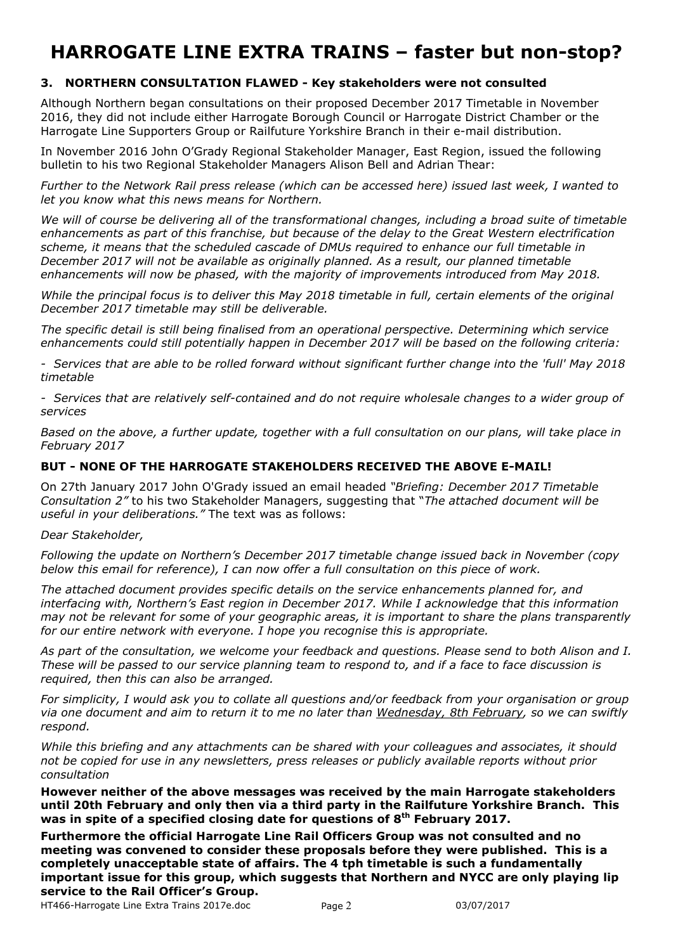### **3. NORTHERN CONSULTATION FLAWED - Key stakeholders were not consulted**

Although Northern began consultations on their proposed December 2017 Timetable in November 2016, they did not include either Harrogate Borough Council or Harrogate District Chamber or the Harrogate Line Supporters Group or Railfuture Yorkshire Branch in their e-mail distribution.

In November 2016 John O'Grady Regional Stakeholder Manager, East Region, issued the following bulletin to his two Regional Stakeholder Managers Alison Bell and Adrian Thear:

*Further to the Network Rail press release (which can be accessed here) issued last week, I wanted to let you know what this news means for Northern.* 

*We will of course be delivering all of the transformational changes, including a broad suite of timetable enhancements as part of this franchise, but because of the delay to the Great Western electrification scheme, it means that the scheduled cascade of DMUs required to enhance our full timetable in December 2017 will not be available as originally planned. As a result, our planned timetable enhancements will now be phased, with the majority of improvements introduced from May 2018.* 

*While the principal focus is to deliver this May 2018 timetable in full, certain elements of the original December 2017 timetable may still be deliverable.* 

*The specific detail is still being finalised from an operational perspective. Determining which service enhancements could still potentially happen in December 2017 will be based on the following criteria:* 

*- Services that are able to be rolled forward without significant further change into the 'full' May 2018 timetable* 

*- Services that are relatively self-contained and do not require wholesale changes to a wider group of services* 

*Based on the above, a further update, together with a full consultation on our plans, will take place in February 2017* 

### **BUT - NONE OF THE HARROGATE STAKEHOLDERS RECEIVED THE ABOVE E-MAIL!**

On 27th January 2017 John O'Grady issued an email headed *"Briefing: December 2017 Timetable Consultation 2"* to his two Stakeholder Managers, suggesting that "*The attached document will be useful in your deliberations."* The text was as follows:

#### *Dear Stakeholder,*

*Following the update on Northern's December 2017 timetable change issued back in November (copy below this email for reference), I can now offer a full consultation on this piece of work.* 

*The attached document provides specific details on the service enhancements planned for, and interfacing with, Northern's East region in December 2017. While I acknowledge that this information may not be relevant for some of your geographic areas, it is important to share the plans transparently for our entire network with everyone. I hope you recognise this is appropriate.* 

*As part of the consultation, we welcome your feedback and questions. Please send to both Alison and I. These will be passed to our service planning team to respond to, and if a face to face discussion is required, then this can also be arranged.* 

*For simplicity, I would ask you to collate all questions and/or feedback from your organisation or group via one document and aim to return it to me no later than Wednesday, 8th February, so we can swiftly respond.* 

*While this briefing and any attachments can be shared with your colleagues and associates, it should not be copied for use in any newsletters, press releases or publicly available reports without prior consultation* 

**However neither of the above messages was received by the main Harrogate stakeholders until 20th February and only then via a third party in the Railfuture Yorkshire Branch. This was in spite of a specified closing date for questions of 8th February 2017.** 

**Furthermore the official Harrogate Line Rail Officers Group was not consulted and no meeting was convened to consider these proposals before they were published. This is a completely unacceptable state of affairs. The 4 tph timetable is such a fundamentally important issue for this group, which suggests that Northern and NYCC are only playing lip service to the Rail Officer's Group.**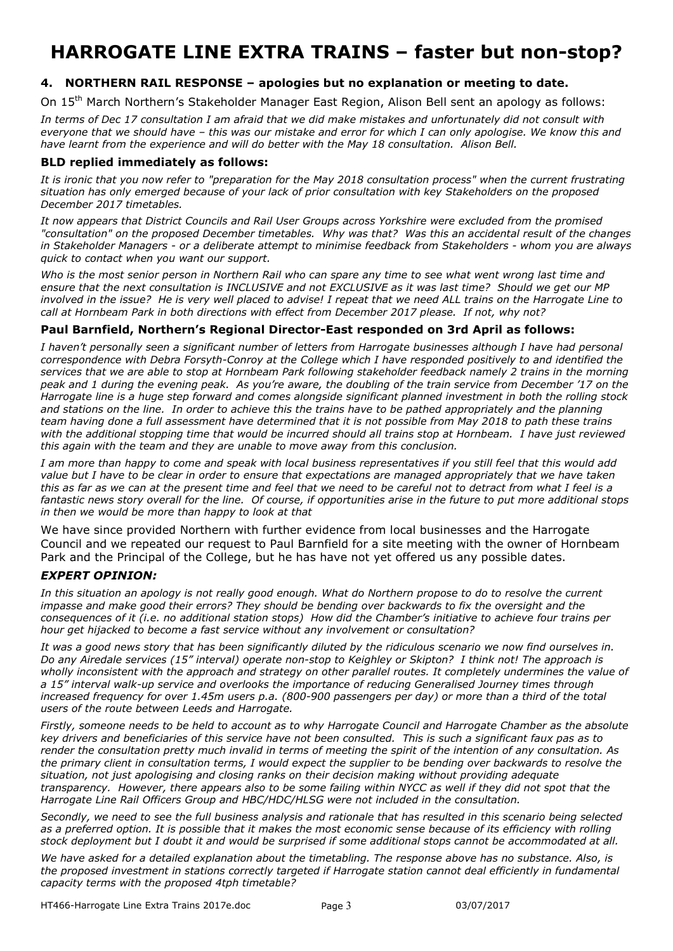### **4. NORTHERN RAIL RESPONSE – apologies but no explanation or meeting to date.**

On 15th March Northern's Stakeholder Manager East Region, Alison Bell sent an apology as follows:

*In terms of Dec 17 consultation I am afraid that we did make mistakes and unfortunately did not consult with everyone that we should have – this was our mistake and error for which I can only apologise. We know this and have learnt from the experience and will do better with the May 18 consultation. Alison Bell.* 

#### **BLD replied immediately as follows:**

*It is ironic that you now refer to "preparation for the May 2018 consultation process" when the current frustrating situation has only emerged because of your lack of prior consultation with key Stakeholders on the proposed December 2017 timetables.* 

*It now appears that District Councils and Rail User Groups across Yorkshire were excluded from the promised "consultation" on the proposed December timetables. Why was that? Was this an accidental result of the changes in Stakeholder Managers - or a deliberate attempt to minimise feedback from Stakeholders - whom you are always quick to contact when you want our support.* 

*Who is the most senior person in Northern Rail who can spare any time to see what went wrong last time and ensure that the next consultation is INCLUSIVE and not EXCLUSIVE as it was last time? Should we get our MP involved in the issue? He is very well placed to advise! I repeat that we need ALL trains on the Harrogate Line to call at Hornbeam Park in both directions with effect from December 2017 please. If not, why not?* 

#### **Paul Barnfield, Northern's Regional Director-East responded on 3rd April as follows:**

*I haven't personally seen a significant number of letters from Harrogate businesses although I have had personal correspondence with Debra Forsyth-Conroy at the College which I have responded positively to and identified the services that we are able to stop at Hornbeam Park following stakeholder feedback namely 2 trains in the morning peak and 1 during the evening peak. As you're aware, the doubling of the train service from December '17 on the Harrogate line is a huge step forward and comes alongside significant planned investment in both the rolling stock and stations on the line. In order to achieve this the trains have to be pathed appropriately and the planning team having done a full assessment have determined that it is not possible from May 2018 to path these trains with the additional stopping time that would be incurred should all trains stop at Hornbeam. I have just reviewed this again with the team and they are unable to move away from this conclusion.* 

*I am more than happy to come and speak with local business representatives if you still feel that this would add value but I have to be clear in order to ensure that expectations are managed appropriately that we have taken this as far as we can at the present time and feel that we need to be careful not to detract from what I feel is a fantastic news story overall for the line. Of course, if opportunities arise in the future to put more additional stops in then we would be more than happy to look at that* 

We have since provided Northern with further evidence from local businesses and the Harrogate Council and we repeated our request to Paul Barnfield for a site meeting with the owner of Hornbeam Park and the Principal of the College, but he has have not yet offered us any possible dates.

### *EXPERT OPINION:*

*In this situation an apology is not really good enough. What do Northern propose to do to resolve the current impasse and make good their errors? They should be bending over backwards to fix the oversight and the consequences of it (i.e. no additional station stops) How did the Chamber's initiative to achieve four trains per hour get hijacked to become a fast service without any involvement or consultation?* 

*It was a good news story that has been significantly diluted by the ridiculous scenario we now find ourselves in. Do any Airedale services (15" interval) operate non-stop to Keighley or Skipton? I think not! The approach is wholly inconsistent with the approach and strategy on other parallel routes. It completely undermines the value of a 15" interval walk-up service and overlooks the importance of reducing Generalised Journey times through increased frequency for over 1.45m users p.a. (800-900 passengers per day) or more than a third of the total users of the route between Leeds and Harrogate.* 

*Firstly, someone needs to be held to account as to why Harrogate Council and Harrogate Chamber as the absolute key drivers and beneficiaries of this service have not been consulted. This is such a significant faux pas as to render the consultation pretty much invalid in terms of meeting the spirit of the intention of any consultation. As the primary client in consultation terms, I would expect the supplier to be bending over backwards to resolve the situation, not just apologising and closing ranks on their decision making without providing adequate transparency. However, there appears also to be some failing within NYCC as well if they did not spot that the Harrogate Line Rail Officers Group and HBC/HDC/HLSG were not included in the consultation.* 

*Secondly, we need to see the full business analysis and rationale that has resulted in this scenario being selected as a preferred option. It is possible that it makes the most economic sense because of its efficiency with rolling stock deployment but I doubt it and would be surprised if some additional stops cannot be accommodated at all.* 

*We have asked for a detailed explanation about the timetabling. The response above has no substance. Also, is the proposed investment in stations correctly targeted if Harrogate station cannot deal efficiently in fundamental capacity terms with the proposed 4tph timetable?*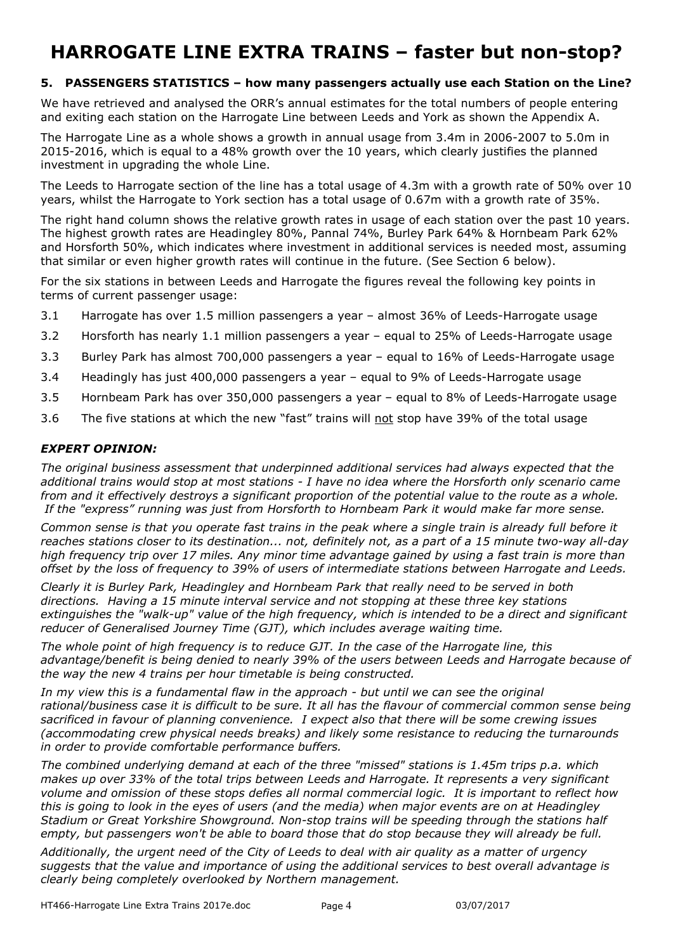### **5. PASSENGERS STATISTICS – how many passengers actually use each Station on the Line?**

We have retrieved and analysed the ORR's annual estimates for the total numbers of people entering and exiting each station on the Harrogate Line between Leeds and York as shown the Appendix A.

The Harrogate Line as a whole shows a growth in annual usage from 3.4m in 2006-2007 to 5.0m in 2015-2016, which is equal to a 48% growth over the 10 years, which clearly justifies the planned investment in upgrading the whole Line.

The Leeds to Harrogate section of the line has a total usage of 4.3m with a growth rate of 50% over 10 years, whilst the Harrogate to York section has a total usage of 0.67m with a growth rate of 35%.

The right hand column shows the relative growth rates in usage of each station over the past 10 years. The highest growth rates are Headingley 80%, Pannal 74%, Burley Park 64% & Hornbeam Park 62% and Horsforth 50%, which indicates where investment in additional services is needed most, assuming that similar or even higher growth rates will continue in the future. (See Section 6 below).

For the six stations in between Leeds and Harrogate the figures reveal the following key points in terms of current passenger usage:

- 3.1 Harrogate has over 1.5 million passengers a year almost 36% of Leeds-Harrogate usage
- 3.2 Horsforth has nearly 1.1 million passengers a year equal to 25% of Leeds-Harrogate usage
- 3.3 Burley Park has almost 700,000 passengers a year equal to 16% of Leeds-Harrogate usage
- 3.4 Headingly has just 400,000 passengers a year equal to 9% of Leeds-Harrogate usage
- 3.5 Hornbeam Park has over 350,000 passengers a year equal to 8% of Leeds-Harrogate usage
- 3.6 The five stations at which the new "fast" trains will not stop have 39% of the total usage

#### *EXPERT OPINION:*

*The original business assessment that underpinned additional services had always expected that the additional trains would stop at most stations - I have no idea where the Horsforth only scenario came from and it effectively destroys a significant proportion of the potential value to the route as a whole. If the "express" running was just from Horsforth to Hornbeam Park it would make far more sense.* 

*Common sense is that you operate fast trains in the peak where a single train is already full before it reaches stations closer to its destination... not, definitely not, as a part of a 15 minute two-way all-day high frequency trip over 17 miles. Any minor time advantage gained by using a fast train is more than offset by the loss of frequency to 39% of users of intermediate stations between Harrogate and Leeds.* 

*Clearly it is Burley Park, Headingley and Hornbeam Park that really need to be served in both directions. Having a 15 minute interval service and not stopping at these three key stations extinguishes the "walk-up" value of the high frequency, which is intended to be a direct and significant reducer of Generalised Journey Time (GJT), which includes average waiting time.* 

*The whole point of high frequency is to reduce GJT. In the case of the Harrogate line, this advantage/benefit is being denied to nearly 39% of the users between Leeds and Harrogate because of the way the new 4 trains per hour timetable is being constructed.* 

In my view this is a fundamental flaw in the approach - but until we can see the original *rational/business case it is difficult to be sure. It all has the flavour of commercial common sense being sacrificed in favour of planning convenience. I expect also that there will be some crewing issues (accommodating crew physical needs breaks) and likely some resistance to reducing the turnarounds in order to provide comfortable performance buffers.* 

*The combined underlying demand at each of the three "missed" stations is 1.45m trips p.a. which makes up over 33% of the total trips between Leeds and Harrogate. It represents a very significant volume and omission of these stops defies all normal commercial logic. It is important to reflect how this is going to look in the eyes of users (and the media) when major events are on at Headingley Stadium or Great Yorkshire Showground. Non-stop trains will be speeding through the stations half empty, but passengers won't be able to board those that do stop because they will already be full.* 

*Additionally, the urgent need of the City of Leeds to deal with air quality as a matter of urgency suggests that the value and importance of using the additional services to best overall advantage is clearly being completely overlooked by Northern management.*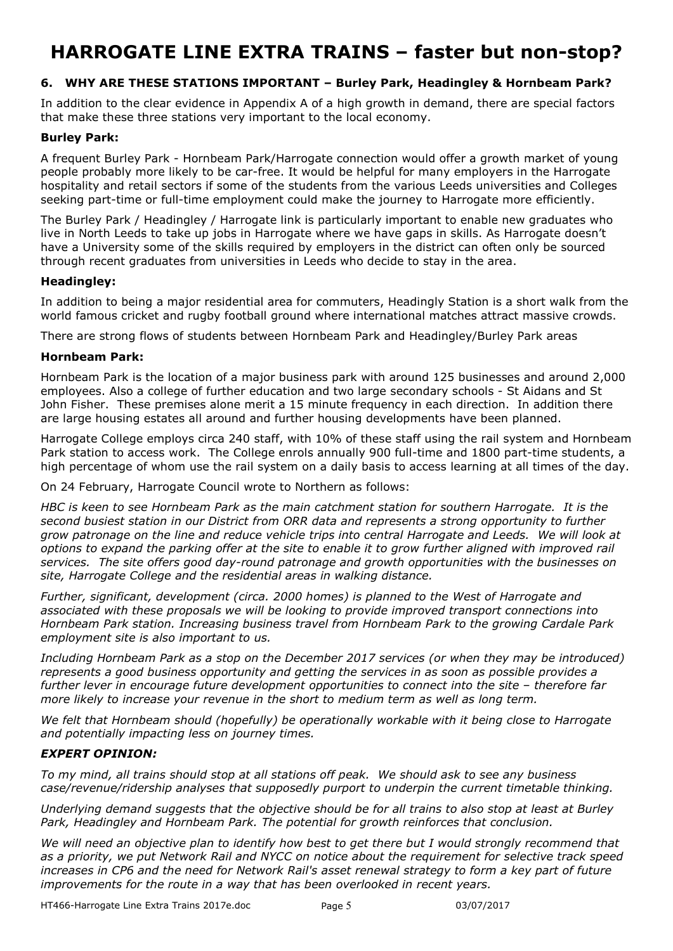### **6. WHY ARE THESE STATIONS IMPORTANT – Burley Park, Headingley & Hornbeam Park?**

In addition to the clear evidence in Appendix A of a high growth in demand, there are special factors that make these three stations very important to the local economy.

#### **Burley Park:**

A frequent Burley Park - Hornbeam Park/Harrogate connection would offer a growth market of young people probably more likely to be car-free. It would be helpful for many employers in the Harrogate hospitality and retail sectors if some of the students from the various Leeds universities and Colleges seeking part-time or full-time employment could make the journey to Harrogate more efficiently.

The Burley Park / Headingley / Harrogate link is particularly important to enable new graduates who live in North Leeds to take up jobs in Harrogate where we have gaps in skills. As Harrogate doesn't have a University some of the skills required by employers in the district can often only be sourced through recent graduates from universities in Leeds who decide to stay in the area.

#### **Headingley:**

In addition to being a major residential area for commuters, Headingly Station is a short walk from the world famous cricket and rugby football ground where international matches attract massive crowds.

There are strong flows of students between Hornbeam Park and Headingley/Burley Park areas

#### **Hornbeam Park:**

Hornbeam Park is the location of a major business park with around 125 businesses and around 2,000 employees. Also a college of further education and two large secondary schools - St Aidans and St John Fisher. These premises alone merit a 15 minute frequency in each direction. In addition there are large housing estates all around and further housing developments have been planned.

Harrogate College employs circa 240 staff, with 10% of these staff using the rail system and Hornbeam Park station to access work. The College enrols annually 900 full-time and 1800 part-time students, a high percentage of whom use the rail system on a daily basis to access learning at all times of the day.

On 24 February, Harrogate Council wrote to Northern as follows:

*HBC is keen to see Hornbeam Park as the main catchment station for southern Harrogate. It is the second busiest station in our District from ORR data and represents a strong opportunity to further grow patronage on the line and reduce vehicle trips into central Harrogate and Leeds. We will look at options to expand the parking offer at the site to enable it to grow further aligned with improved rail services. The site offers good day-round patronage and growth opportunities with the businesses on site, Harrogate College and the residential areas in walking distance.* 

*Further, significant, development (circa. 2000 homes) is planned to the West of Harrogate and associated with these proposals we will be looking to provide improved transport connections into Hornbeam Park station. Increasing business travel from Hornbeam Park to the growing Cardale Park employment site is also important to us.* 

*Including Hornbeam Park as a stop on the December 2017 services (or when they may be introduced) represents a good business opportunity and getting the services in as soon as possible provides a further lever in encourage future development opportunities to connect into the site – therefore far more likely to increase your revenue in the short to medium term as well as long term.* 

*We felt that Hornbeam should (hopefully) be operationally workable with it being close to Harrogate and potentially impacting less on journey times.* 

### *EXPERT OPINION:*

*To my mind, all trains should stop at all stations off peak. We should ask to see any business case/revenue/ridership analyses that supposedly purport to underpin the current timetable thinking.* 

*Underlying demand suggests that the objective should be for all trains to also stop at least at Burley Park, Headingley and Hornbeam Park. The potential for growth reinforces that conclusion.* 

*We will need an objective plan to identify how best to get there but I would strongly recommend that as a priority, we put Network Rail and NYCC on notice about the requirement for selective track speed increases in CP6 and the need for Network Rail's asset renewal strategy to form a key part of future improvements for the route in a way that has been overlooked in recent years.*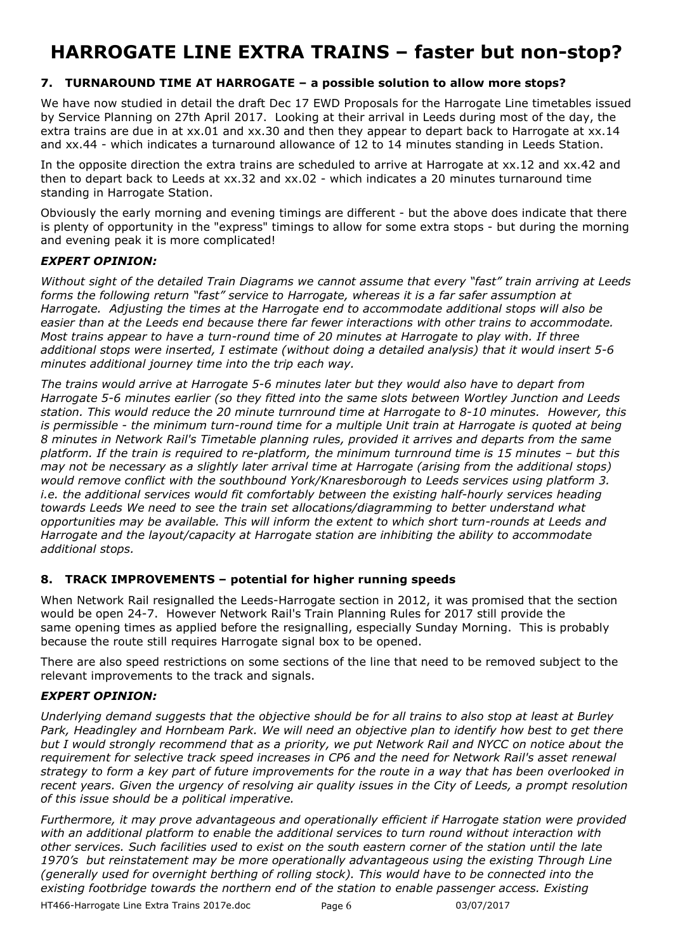### **7. TURNAROUND TIME AT HARROGATE – a possible solution to allow more stops?**

We have now studied in detail the draft Dec 17 EWD Proposals for the Harrogate Line timetables issued by Service Planning on 27th April 2017. Looking at their arrival in Leeds during most of the day, the extra trains are due in at xx.01 and xx.30 and then they appear to depart back to Harrogate at xx.14 and xx.44 - which indicates a turnaround allowance of 12 to 14 minutes standing in Leeds Station.

In the opposite direction the extra trains are scheduled to arrive at Harrogate at xx.12 and xx.42 and then to depart back to Leeds at xx.32 and xx.02 - which indicates a 20 minutes turnaround time standing in Harrogate Station.

Obviously the early morning and evening timings are different - but the above does indicate that there is plenty of opportunity in the "express" timings to allow for some extra stops - but during the morning and evening peak it is more complicated!

### *EXPERT OPINION:*

*Without sight of the detailed Train Diagrams we cannot assume that every "fast" train arriving at Leeds forms the following return "fast" service to Harrogate, whereas it is a far safer assumption at Harrogate. Adjusting the times at the Harrogate end to accommodate additional stops will also be easier than at the Leeds end because there far fewer interactions with other trains to accommodate. Most trains appear to have a turn-round time of 20 minutes at Harrogate to play with. If three additional stops were inserted, I estimate (without doing a detailed analysis) that it would insert 5-6 minutes additional journey time into the trip each way.* 

*The trains would arrive at Harrogate 5-6 minutes later but they would also have to depart from Harrogate 5-6 minutes earlier (so they fitted into the same slots between Wortley Junction and Leeds station. This would reduce the 20 minute turnround time at Harrogate to 8-10 minutes. However, this is permissible - the minimum turn-round time for a multiple Unit train at Harrogate is quoted at being 8 minutes in Network Rail's Timetable planning rules, provided it arrives and departs from the same platform. If the train is required to re-platform, the minimum turnround time is 15 minutes – but this may not be necessary as a slightly later arrival time at Harrogate (arising from the additional stops) would remove conflict with the southbound York/Knaresborough to Leeds services using platform 3. i.e. the additional services would fit comfortably between the existing half-hourly services heading towards Leeds We need to see the train set allocations/diagramming to better understand what opportunities may be available. This will inform the extent to which short turn-rounds at Leeds and Harrogate and the layout/capacity at Harrogate station are inhibiting the ability to accommodate additional stops.* 

### **8. TRACK IMPROVEMENTS – potential for higher running speeds**

When Network Rail resignalled the Leeds-Harrogate section in 2012, it was promised that the section would be open 24-7. However Network Rail's Train Planning Rules for 2017 still provide the same opening times as applied before the resignalling, especially Sunday Morning. This is probably because the route still requires Harrogate signal box to be opened.

There are also speed restrictions on some sections of the line that need to be removed subject to the relevant improvements to the track and signals.

### *EXPERT OPINION:*

*Underlying demand suggests that the objective should be for all trains to also stop at least at Burley* Park, Headingley and Hornbeam Park. We will need an objective plan to identify how best to get there *but I would strongly recommend that as a priority, we put Network Rail and NYCC on notice about the requirement for selective track speed increases in CP6 and the need for Network Rail's asset renewal strategy to form a key part of future improvements for the route in a way that has been overlooked in recent years. Given the urgency of resolving air quality issues in the City of Leeds, a prompt resolution of this issue should be a political imperative.* 

*Furthermore, it may prove advantageous and operationally efficient if Harrogate station were provided with an additional platform to enable the additional services to turn round without interaction with other services. Such facilities used to exist on the south eastern corner of the station until the late 1970's but reinstatement may be more operationally advantageous using the existing Through Line (generally used for overnight berthing of rolling stock). This would have to be connected into the existing footbridge towards the northern end of the station to enable passenger access. Existing* 

HT466-Harrogate Line Extra Trains 2017e.doc Page 6 03/07/2017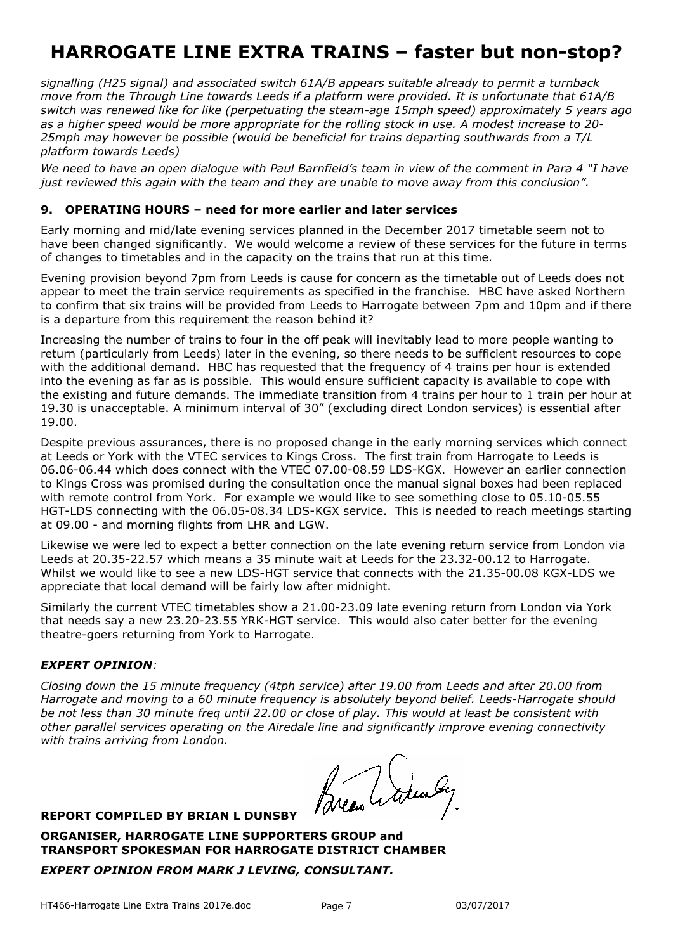*signalling (H25 signal) and associated switch 61A/B appears suitable already to permit a turnback move from the Through Line towards Leeds if a platform were provided. It is unfortunate that 61A/B switch was renewed like for like (perpetuating the steam-age 15mph speed) approximately 5 years ago as a higher speed would be more appropriate for the rolling stock in use. A modest increase to 20- 25mph may however be possible (would be beneficial for trains departing southwards from a T/L platform towards Leeds)* 

*We need to have an open dialogue with Paul Barnfield's team in view of the comment in Para 4 "I have just reviewed this again with the team and they are unable to move away from this conclusion".* 

#### **9. OPERATING HOURS – need for more earlier and later services**

Early morning and mid/late evening services planned in the December 2017 timetable seem not to have been changed significantly. We would welcome a review of these services for the future in terms of changes to timetables and in the capacity on the trains that run at this time.

Evening provision beyond 7pm from Leeds is cause for concern as the timetable out of Leeds does not appear to meet the train service requirements as specified in the franchise. HBC have asked Northern to confirm that six trains will be provided from Leeds to Harrogate between 7pm and 10pm and if there is a departure from this requirement the reason behind it?

Increasing the number of trains to four in the off peak will inevitably lead to more people wanting to return (particularly from Leeds) later in the evening, so there needs to be sufficient resources to cope with the additional demand. HBC has requested that the frequency of 4 trains per hour is extended into the evening as far as is possible. This would ensure sufficient capacity is available to cope with the existing and future demands. The immediate transition from 4 trains per hour to 1 train per hour at 19.30 is unacceptable. A minimum interval of 30" (excluding direct London services) is essential after 19.00.

Despite previous assurances, there is no proposed change in the early morning services which connect at Leeds or York with the VTEC services to Kings Cross. The first train from Harrogate to Leeds is 06.06-06.44 which does connect with the VTEC 07.00-08.59 LDS-KGX. However an earlier connection to Kings Cross was promised during the consultation once the manual signal boxes had been replaced with remote control from York. For example we would like to see something close to 05.10-05.55 HGT-LDS connecting with the 06.05-08.34 LDS-KGX service. This is needed to reach meetings starting at 09.00 - and morning flights from LHR and LGW.

Likewise we were led to expect a better connection on the late evening return service from London via Leeds at 20.35-22.57 which means a 35 minute wait at Leeds for the 23.32-00.12 to Harrogate. Whilst we would like to see a new LDS-HGT service that connects with the 21.35-00.08 KGX-LDS we appreciate that local demand will be fairly low after midnight.

Similarly the current VTEC timetables show a 21.00-23.09 late evening return from London via York that needs say a new 23.20-23.55 YRK-HGT service. This would also cater better for the evening theatre-goers returning from York to Harrogate.

#### *EXPERT OPINION:*

*Closing down the 15 minute frequency (4tph service) after 19.00 from Leeds and after 20.00 from Harrogate and moving to a 60 minute frequency is absolutely beyond belief. Leeds-Harrogate should be not less than 30 minute freq until 22.00 or close of play. This would at least be consistent with other parallel services operating on the Airedale line and significantly improve evening connectivity with trains arriving from London.* 

Parcent todas

#### **REPORT COMPILED BY BRIAN L DUNSBY**

**ORGANISER, HARROGATE LINE SUPPORTERS GROUP and TRANSPORT SPOKESMAN FOR HARROGATE DISTRICT CHAMBER** 

*EXPERT OPINION FROM MARK J LEVING, CONSULTANT.*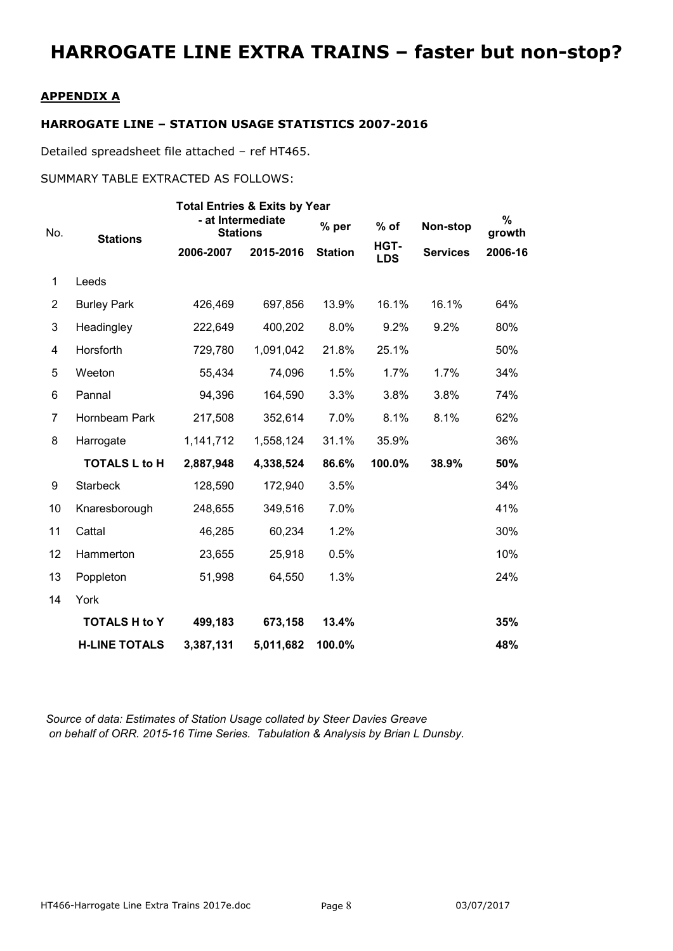#### **APPENDIX A**

#### **HARROGATE LINE – STATION USAGE STATISTICS 2007-2016**

Detailed spreadsheet file attached – ref HT465.

#### SUMMARY TABLE EXTRACTED AS FOLLOWS:

|                | <b>Total Entries &amp; Exits by Year</b> |                                      |           |                |                    |                 |                |
|----------------|------------------------------------------|--------------------------------------|-----------|----------------|--------------------|-----------------|----------------|
| No.            | <b>Stations</b>                          | - at Intermediate<br><b>Stations</b> |           | $%$ per        | $%$ of             | Non-stop        | $\%$<br>growth |
|                |                                          | 2006-2007                            | 2015-2016 | <b>Station</b> | HGT-<br><b>LDS</b> | <b>Services</b> | 2006-16        |
| 1              | Leeds                                    |                                      |           |                |                    |                 |                |
| $\overline{2}$ | <b>Burley Park</b>                       | 426,469                              | 697,856   | 13.9%          | 16.1%              | 16.1%           | 64%            |
| 3              | Headingley                               | 222,649                              | 400,202   | 8.0%           | 9.2%               | 9.2%            | 80%            |
| 4              | Horsforth                                | 729,780                              | 1,091,042 | 21.8%          | 25.1%              |                 | 50%            |
| 5              | Weeton                                   | 55,434                               | 74,096    | 1.5%           | 1.7%               | 1.7%            | 34%            |
| 6              | Pannal                                   | 94,396                               | 164,590   | 3.3%           | 3.8%               | 3.8%            | 74%            |
| $\overline{7}$ | Hornbeam Park                            | 217,508                              | 352,614   | 7.0%           | 8.1%               | 8.1%            | 62%            |
| 8              | Harrogate                                | 1,141,712                            | 1,558,124 | 31.1%          | 35.9%              |                 | 36%            |
|                | <b>TOTALS L to H</b>                     | 2,887,948                            | 4,338,524 | 86.6%          | 100.0%             | 38.9%           | 50%            |
| 9              | <b>Starbeck</b>                          | 128,590                              | 172,940   | 3.5%           |                    |                 | 34%            |
| 10             | Knaresborough                            | 248,655                              | 349,516   | 7.0%           |                    |                 | 41%            |
| 11             | Cattal                                   | 46,285                               | 60,234    | 1.2%           |                    |                 | 30%            |
| 12             | Hammerton                                | 23,655                               | 25,918    | 0.5%           |                    |                 | 10%            |
| 13             | Poppleton                                | 51,998                               | 64,550    | 1.3%           |                    |                 | 24%            |
| 14             | York                                     |                                      |           |                |                    |                 |                |
|                | <b>TOTALS H to Y</b>                     | 499,183                              | 673,158   | 13.4%          |                    |                 | 35%            |
|                | <b>H-LINE TOTALS</b>                     | 3,387,131                            | 5,011,682 | 100.0%         |                    |                 | 48%            |

*Source of data: Estimates of Station Usage collated by Steer Davies Greave on behalf of ORR. 2015-16 Time Series. Tabulation & Analysis by Brian L Dunsby.*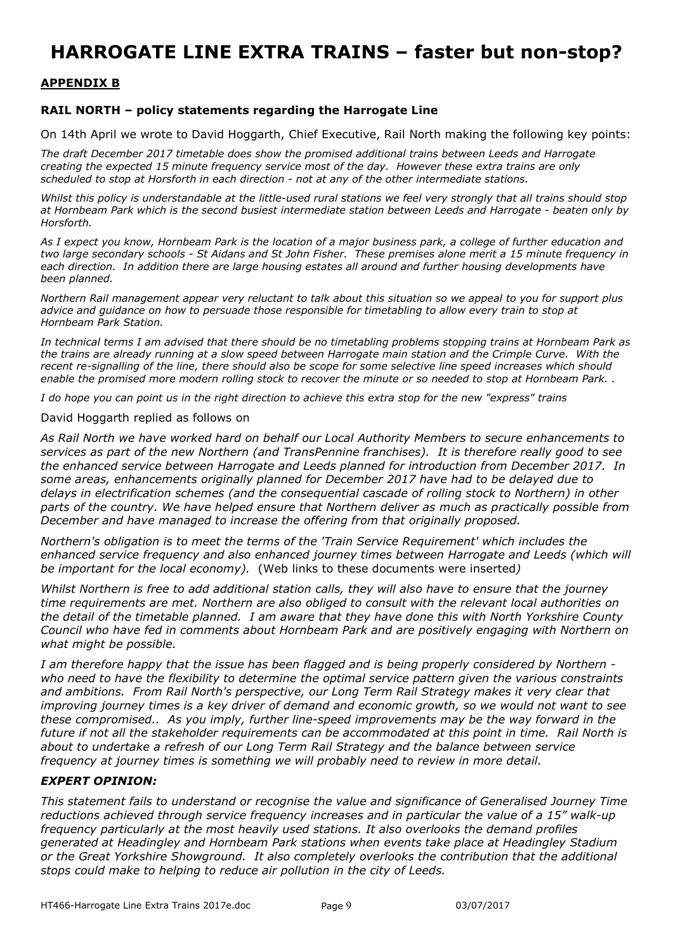#### **APPENDIX B** Ī

#### **RAIL NORTH – policy statements regarding the Harrogate Line**

On 14th April we wrote to David Hoggarth, Chief Executive, Rail North making the following key points:

*The draft December 2017 timetable does show the promised additional trains between Leeds and Harrogate creating the expected 15 minute frequency service most of the day. However these extra trains are only scheduled to stop at Horsforth in each direction - not at any of the other intermediate stations.* 

*Whilst this policy is understandable at the little-used rural stations we feel very strongly that all trains should stop at Hornbeam Park which is the second busiest intermediate station between Leeds and Harrogate - beaten only by Horsforth.* 

*As I expect you know, Hornbeam Park is the location of a major business park, a college of further education and two large secondary schools - St Aidans and St John Fisher. These premises alone merit a 15 minute frequency in each direction. In addition there are large housing estates all around and further housing developments have been planned.* 

*Northern Rail management appear very reluctant to talk about this situation so we appeal to you for support plus advice and guidance on how to persuade those responsible for timetabling to allow every train to stop at Hornbeam Park Station.* 

*In technical terms I am advised that there should be no timetabling problems stopping trains at Hornbeam Park as the trains are already running at a slow speed between Harrogate main station and the Crimple Curve. With the recent re-signalling of the line, there should also be scope for some selective line speed increases which should enable the promised more modern rolling stock to recover the minute or so needed to stop at Hornbeam Park. .* 

*I do hope you can point us in the right direction to achieve this extra stop for the new "express" trains* 

David Hoggarth replied as follows on

*As Rail North we have worked hard on behalf our Local Authority Members to secure enhancements to services as part of the new Northern (and TransPennine franchises). It is therefore really good to see the enhanced service between Harrogate and Leeds planned for introduction from December 2017. In some areas, enhancements originally planned for December 2017 have had to be delayed due to delays in electrification schemes (and the consequential cascade of rolling stock to Northern) in other parts of the country. We have helped ensure that Northern deliver as much as practically possible from December and have managed to increase the offering from that originally proposed.* 

*Northern's obligation is to meet the terms of the 'Train Service Requirement' which includes the enhanced service frequency and also enhanced journey times between Harrogate and Leeds (which will be important for the local economy).* (Web links to these documents were inserted*)* 

*Whilst Northern is free to add additional station calls, they will also have to ensure that the journey time requirements are met. Northern are also obliged to consult with the relevant local authorities on the detail of the timetable planned. I am aware that they have done this with North Yorkshire County Council who have fed in comments about Hornbeam Park and are positively engaging with Northern on what might be possible.* 

*I am therefore happy that the issue has been flagged and is being properly considered by Northern who need to have the flexibility to determine the optimal service pattern given the various constraints and ambitions. From Rail North's perspective, our Long Term Rail Strategy makes it very clear that improving journey times is a key driver of demand and economic growth, so we would not want to see these compromised.. As you imply, further line-speed improvements may be the way forward in the future if not all the stakeholder requirements can be accommodated at this point in time. Rail North is about to undertake a refresh of our Long Term Rail Strategy and the balance between service frequency at journey times is something we will probably need to review in more detail.* 

#### *EXPERT OPINION:*

*This statement fails to understand or recognise the value and significance of Generalised Journey Time reductions achieved through service frequency increases and in particular the value of a 15" walk-up frequency particularly at the most heavily used stations. It also overlooks the demand profiles generated at Headingley and Hornbeam Park stations when events take place at Headingley Stadium or the Great Yorkshire Showground. It also completely overlooks the contribution that the additional stops could make to helping to reduce air pollution in the city of Leeds.*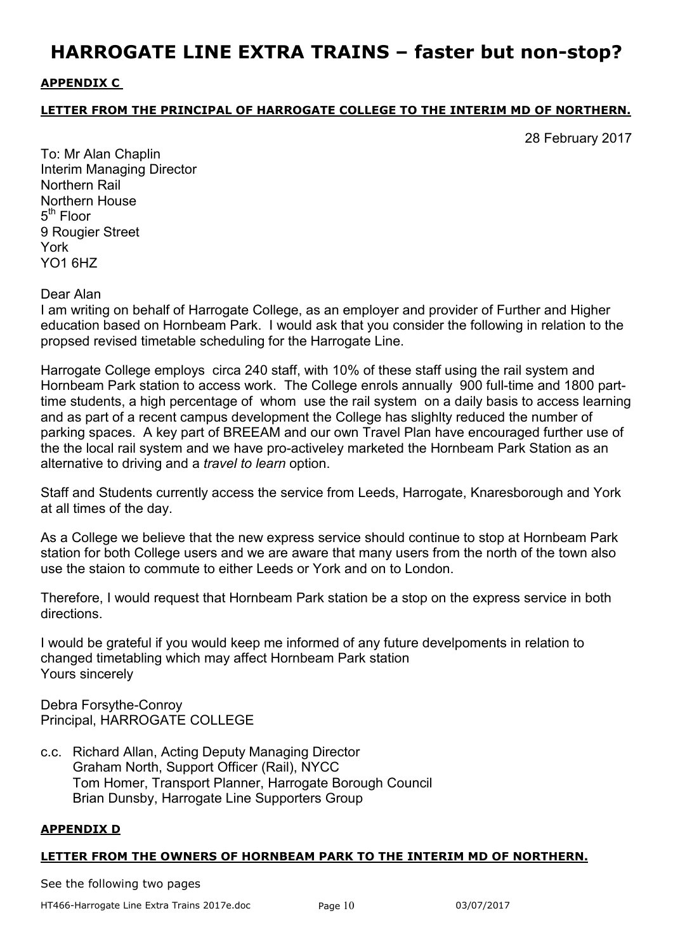### **APPENDIX C**

### **LETTER FROM THE PRINCIPAL OF HARROGATE COLLEGE TO THE INTERIM MD OF NORTHERN.**

28 February 2017

To: Mr Alan Chaplin Interim Managing Director Northern Rail Northern House 5<sup>th</sup> Floor 9 Rougier Street York YO1 6HZ

Dear Alan

I am writing on behalf of Harrogate College, as an employer and provider of Further and Higher education based on Hornbeam Park. I would ask that you consider the following in relation to the propsed revised timetable scheduling for the Harrogate Line.

Harrogate College employs circa 240 staff, with 10% of these staff using the rail system and Hornbeam Park station to access work. The College enrols annually 900 full-time and 1800 parttime students, a high percentage of whom use the rail system on a daily basis to access learning and as part of a recent campus development the College has slighlty reduced the number of parking spaces. A key part of BREEAM and our own Travel Plan have encouraged further use of the the local rail system and we have pro-activeley marketed the Hornbeam Park Station as an alternative to driving and a *travel to learn* option.

Staff and Students currently access the service from Leeds, Harrogate, Knaresborough and York at all times of the day.

As a College we believe that the new express service should continue to stop at Hornbeam Park station for both College users and we are aware that many users from the north of the town also use the staion to commute to either Leeds or York and on to London.

Therefore, I would request that Hornbeam Park station be a stop on the express service in both directions.

I would be grateful if you would keep me informed of any future develpoments in relation to changed timetabling which may affect Hornbeam Park station Yours sincerely

Debra Forsythe-Conroy Principal, HARROGATE COLLEGE

c.c. Richard Allan, Acting Deputy Managing Director Graham North, Support Officer (Rail), NYCC Tom Homer, Transport Planner, Harrogate Borough Council Brian Dunsby, Harrogate Line Supporters Group

### **APPENDIX D**

### **LETTER FROM THE OWNERS OF HORNBEAM PARK TO THE INTERIM MD OF NORTHERN.**

See the following two pages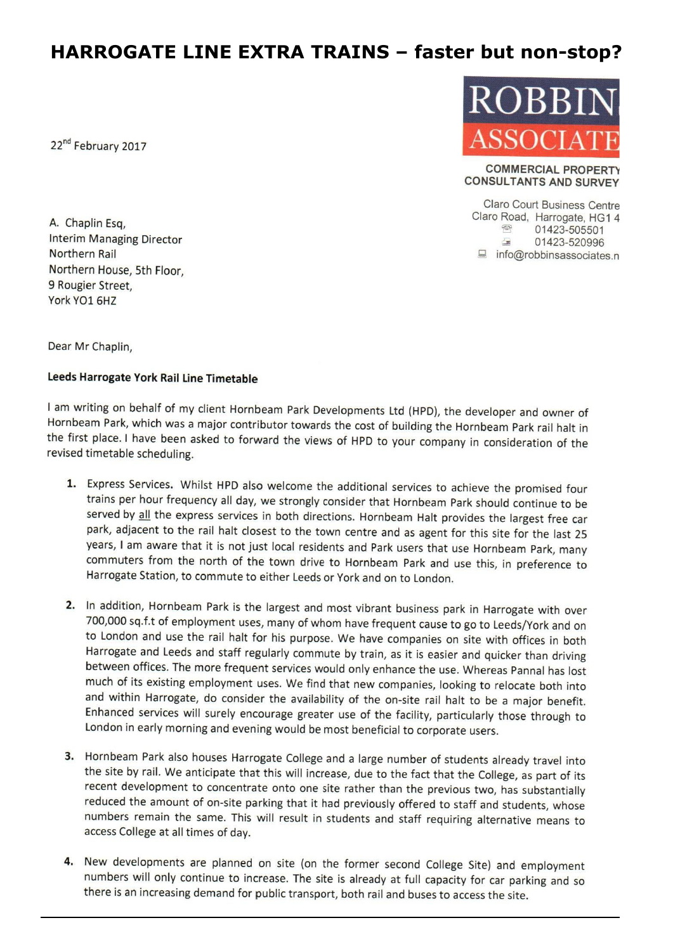22<sup>nd</sup> February 2017

A. Chaplin Esq. Interim Managing Director **Northern Rail** Northern House, 5th Floor. 9 Rougier Street, York YO1 6HZ



**COMMERCIAL PROPERTY CONSULTANTS AND SURVEY** 

**Claro Court Business Centre** Claro Road, Harrogate, HG1 4  $\mathbb{R}$ 01423-505501 01423-520996  $\sqrt{2}$ □ info@robbinsassociates.n

Dear Mr Chaplin,

#### Leeds Harrogate York Rail Line Timetable

I am writing on behalf of my client Hornbeam Park Developments Ltd (HPD), the developer and owner of Hornbeam Park, which was a major contributor towards the cost of building the Hornbeam Park rail halt in the first place. I have been asked to forward the views of HPD to your company in consideration of the revised timetable scheduling.

- 1. Express Services. Whilst HPD also welcome the additional services to achieve the promised four trains per hour frequency all day, we strongly consider that Hornbeam Park should continue to be served by all the express services in both directions. Hornbeam Halt provides the largest free car park, adjacent to the rail halt closest to the town centre and as agent for this site for the last 25 years, I am aware that it is not just local residents and Park users that use Hornbeam Park, many commuters from the north of the town drive to Hornbeam Park and use this, in preference to Harrogate Station, to commute to either Leeds or York and on to London.
- 2. In addition, Hornbeam Park is the largest and most vibrant business park in Harrogate with over 700,000 sq.f.t of employment uses, many of whom have frequent cause to go to Leeds/York and on to London and use the rail halt for his purpose. We have companies on site with offices in both Harrogate and Leeds and staff regularly commute by train, as it is easier and quicker than driving between offices. The more frequent services would only enhance the use. Whereas Pannal has lost much of its existing employment uses. We find that new companies, looking to relocate both into and within Harrogate, do consider the availability of the on-site rail halt to be a major benefit. Enhanced services will surely encourage greater use of the facility, particularly those through to London in early morning and evening would be most beneficial to corporate users.
- 3. Hornbeam Park also houses Harrogate College and a large number of students already travel into the site by rail. We anticipate that this will increase, due to the fact that the College, as part of its recent development to concentrate onto one site rather than the previous two, has substantially reduced the amount of on-site parking that it had previously offered to staff and students, whose numbers remain the same. This will result in students and staff requiring alternative means to access College at all times of day.
- 4. New developments are planned on site (on the former second College Site) and employment numbers will only continue to increase. The site is already at full capacity for car parking and so there is an increasing demand for public transport, both rail and buses to access the site.